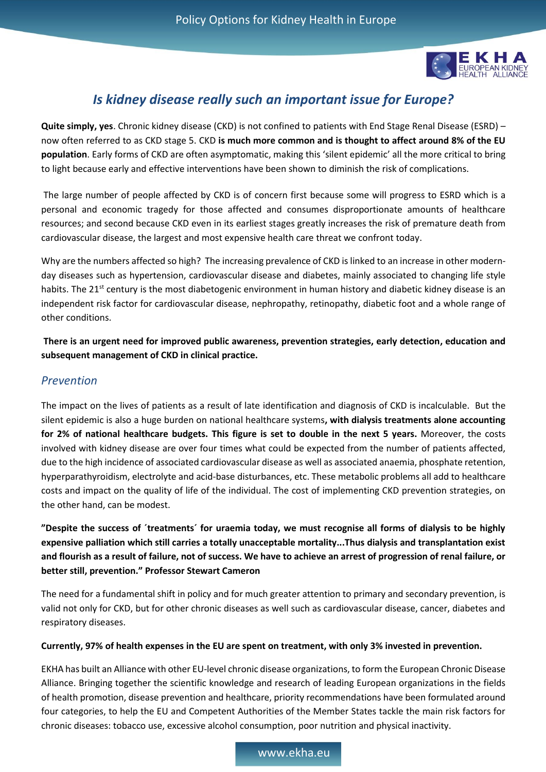

# *Is kidney disease really such an important issue for Europe?*

**Quite simply, yes**. Chronic kidney disease (CKD) is not confined to patients with End Stage Renal Disease (ESRD) – now often referred to as CKD stage 5. CKD **is much more common and is thought to affect around 8% of the EU population**. Early forms of CKD are often asymptomatic, making this 'silent epidemic' all the more critical to bring to light because early and effective interventions have been shown to diminish the risk of complications.

The large number of people affected by CKD is of concern first because some will progress to ESRD which is a personal and economic tragedy for those affected and consumes disproportionate amounts of healthcare resources; and second because CKD even in its earliest stages greatly increases the risk of premature death from cardiovascular disease, the largest and most expensive health care threat we confront today.

Why are the numbers affected so high? The increasing prevalence of CKD is linked to an increase in other modernday diseases such as hypertension, cardiovascular disease and diabetes, mainly associated to changing life style habits. The 21<sup>st</sup> century is the most diabetogenic environment in human history and diabetic kidney disease is an independent risk factor for cardiovascular disease, nephropathy, retinopathy, diabetic foot and a whole range of other conditions.

**There is an urgent need for improved public awareness, prevention strategies, early detection, education and subsequent management of CKD in clinical practice.** 

### *Prevention*

The impact on the lives of patients as a result of late identification and diagnosis of CKD is incalculable. But the silent epidemic is also a huge burden on national healthcare systems**, with dialysis treatments alone accounting for 2% of national healthcare budgets. This figure is set to double in the next 5 years.** Moreover, the costs involved with kidney disease are over four times what could be expected from the number of patients affected, due to the high incidence of associated cardiovascular disease as well as associated anaemia, phosphate retention, hyperparathyroidism, electrolyte and acid-base disturbances, etc. These metabolic problems all add to healthcare costs and impact on the quality of life of the individual. The cost of implementing CKD prevention strategies, on the other hand, can be modest.

**"Despite the success of ´treatments´ for uraemia today, we must recognise all forms of dialysis to be highly expensive palliation which still carries a totally unacceptable mortality...Thus dialysis and transplantation exist and flourish as a result of failure, not of success. We have to achieve an arrest of progression of renal failure, or better still, prevention." Professor Stewart Cameron**

The need for a fundamental shift in policy and for much greater attention to primary and secondary prevention, is valid not only for CKD, but for other chronic diseases as well such as cardiovascular disease, cancer, diabetes and respiratory diseases.

#### **Currently, 97% of health expenses in the EU are spent on treatment, with only 3% invested in prevention.**

EKHA has built an Alliance with other EU-level chronic disease organizations, to form the European Chronic Disease Alliance. Bringing together the scientific knowledge and research of leading European organizations in the fields of health promotion, disease prevention and healthcare, priority recommendations have been formulated around four categories, to help the EU and Competent Authorities of the Member States tackle the main risk factors for chronic diseases: tobacco use, excessive alcohol consumption, poor nutrition and physical inactivity.

www.ekha.eu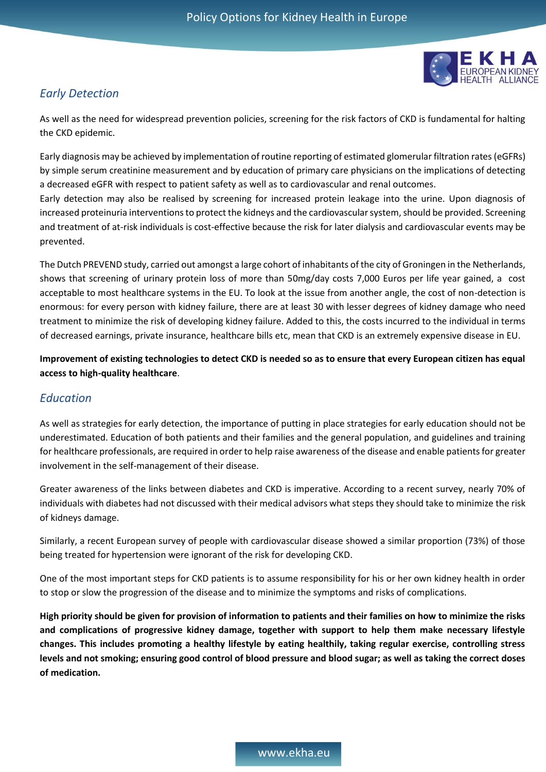

## *Early Detection*

As well as the need for widespread prevention policies, screening for the risk factors of CKD is fundamental for halting the CKD epidemic.

Early diagnosis may be achieved by implementation of routine reporting of estimated glomerular filtration rates (eGFRs) by simple serum creatinine measurement and by education of primary care physicians on the implications of detecting a decreased eGFR with respect to patient safety as well as to cardiovascular and renal outcomes.

Early detection may also be realised by screening for increased protein leakage into the urine. Upon diagnosis of increased proteinuria interventions to protect the kidneys and the cardiovascular system, should be provided. Screening and treatment of at-risk individuals is cost-effective because the risk for later dialysis and cardiovascular events may be prevented.

The Dutch PREVEND study, carried out amongst a large cohort of inhabitants of the city of Groningen in the Netherlands, shows that screening of urinary protein loss of more than 50mg/day costs 7,000 Euros per life year gained, a cost acceptable to most healthcare systems in the EU. To look at the issue from another angle, the cost of non-detection is enormous: for every person with kidney failure, there are at least 30 with lesser degrees of kidney damage who need treatment to minimize the risk of developing kidney failure. Added to this, the costs incurred to the individual in terms of decreased earnings, private insurance, healthcare bills etc, mean that CKD is an extremely expensive disease in EU.

**Improvement of existing technologies to detect CKD is needed so as to ensure that every European citizen has equal access to high-quality healthcare**.

#### *Education*

As well as strategies for early detection, the importance of putting in place strategies for early education should not be underestimated. Education of both patients and their families and the general population, and guidelines and training for healthcare professionals, are required in order to help raise awareness of the disease and enable patients for greater involvement in the self-management of their disease.

Greater awareness of the links between diabetes and CKD is imperative. According to a recent survey, nearly 70% of individuals with diabetes had not discussed with their medical advisors what steps they should take to minimize the risk of kidneys damage.

Similarly, a recent European survey of people with cardiovascular disease showed a similar proportion (73%) of those being treated for hypertension were ignorant of the risk for developing CKD.

One of the most important steps for CKD patients is to assume responsibility for his or her own kidney health in order to stop or slow the progression of the disease and to minimize the symptoms and risks of complications.

**High priority should be given for provision of information to patients and their families on how to minimize the risks and complications of progressive kidney damage, together with support to help them make necessary lifestyle changes. This includes promoting a healthy lifestyle by eating healthily, taking regular exercise, controlling stress levels and not smoking; ensuring good control of blood pressure and blood sugar; as well as taking the correct doses of medication.**